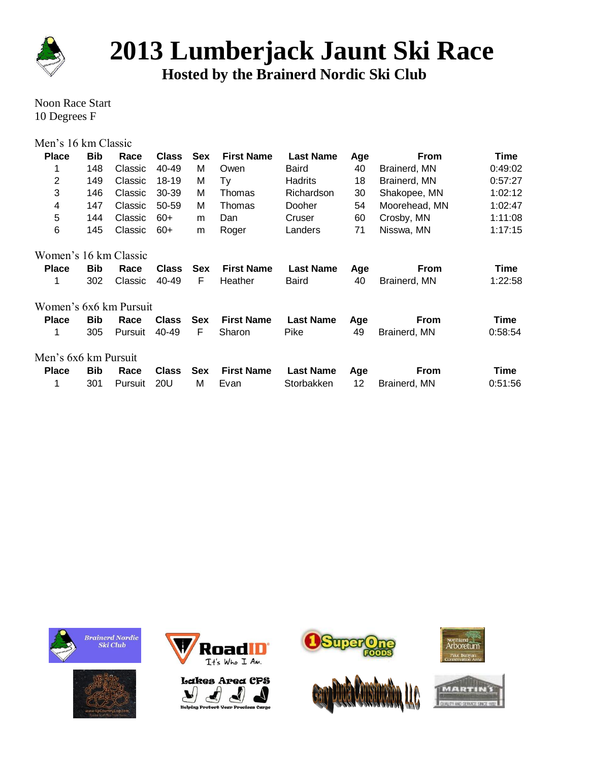

# **2013 Lumberjack Jaunt Ski Race**

**Hosted by the Brainerd Nordic Ski Club**

Noon Race Start 10 Degrees F

| Men's 16 km Classic     |            |         |              |            |                   |                  |     |               |         |
|-------------------------|------------|---------|--------------|------------|-------------------|------------------|-----|---------------|---------|
| <b>Place</b>            | <b>Bib</b> | Race    | <b>Class</b> | <b>Sex</b> | <b>First Name</b> | <b>Last Name</b> | Age | <b>From</b>   | Time    |
| 1                       | 148        | Classic | 40-49        | M          | Owen              | Baird            | 40  | Brainerd, MN  | 0:49:02 |
| $\overline{2}$          | 149        | Classic | 18-19        | M          | Ty                | Hadrits          | 18  | Brainerd, MN  | 0:57:27 |
| 3                       | 146        | Classic | 30-39        | M          | Thomas            | Richardson       | 30  | Shakopee, MN  | 1:02:12 |
| $\overline{\mathbf{4}}$ | 147        | Classic | 50-59        | м          | Thomas            | Dooher           | 54  | Moorehead, MN | 1:02:47 |
| 5                       | 144        | Classic | $60+$        | m          | Dan               | Cruser           | 60  | Crosby, MN    | 1:11:08 |
| 6                       | 145        | Classic | $60+$        | m          | Roger             | Landers          | 71  | Nisswa, MN    | 1:17:15 |
| Women's 16 km Classic   |            |         |              |            |                   |                  |     |               |         |
| <b>Place</b>            | <b>Bib</b> | Race    | <b>Class</b> | <b>Sex</b> | <b>First Name</b> | <b>Last Name</b> | Age | <b>From</b>   | Time    |
| 1                       | 302        | Classic | 40-49        | F          | Heather           | Baird            | 40  | Brainerd, MN  | 1:22:58 |
| Women's 6x6 km Pursuit  |            |         |              |            |                   |                  |     |               |         |
| <b>Place</b>            | <b>Bib</b> | Race    | <b>Class</b> | <b>Sex</b> | <b>First Name</b> | <b>Last Name</b> | Age | <b>From</b>   | Time    |
| 1                       | 305        | Pursuit | 40-49        | F          | Sharon            | Pike             | 49  | Brainerd, MN  | 0:58:54 |
| Men's 6x6 km Pursuit    |            |         |              |            |                   |                  |     |               |         |
| <b>Place</b>            | <b>Bib</b> | Race    | <b>Class</b> | <b>Sex</b> | <b>First Name</b> | <b>Last Name</b> | Age | <b>From</b>   | Time    |
| 1                       | 301        | Pursuit | 20U          | M          | Evan              | Storbakken       | 12  | Brainerd, MN  | 0:51:56 |













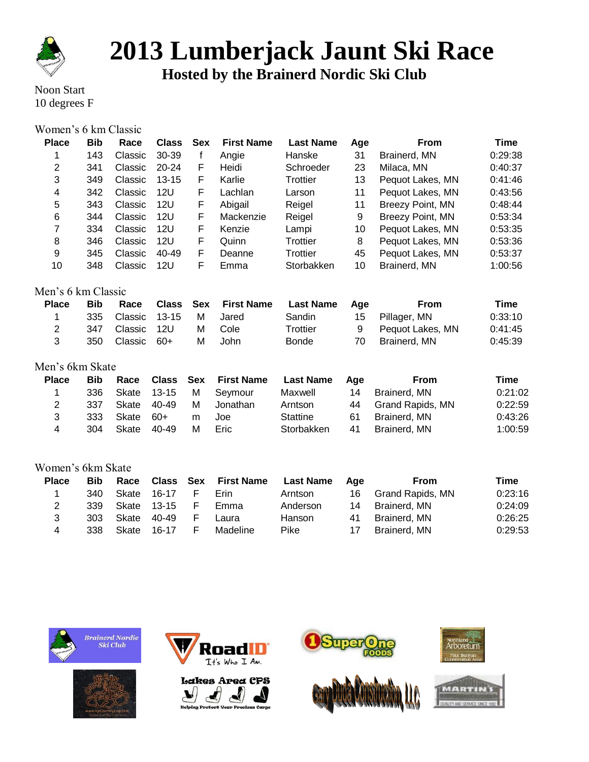

### **Lumberjack Jaunt Ski Race**

**Hosted by the Brainerd Nordic Ski Club**

Noon Start 10 degrees F

### Women's 6 km Classic

| <b>Place</b>       | <b>Bib</b> | Race    | <b>Class</b> | <b>Sex</b> | <b>First Name</b> | <b>Last Name</b> | Age              | <b>From</b>      | Time        |
|--------------------|------------|---------|--------------|------------|-------------------|------------------|------------------|------------------|-------------|
| 1                  | 143        | Classic | 30-39        | f          | Angie             | Hanske           | 31               | Brainerd, MN     | 0:29:38     |
| $\overline{2}$     | 341        | Classic | 20-24        | F          | Heidi             | Schroeder        | 23               | Milaca, MN       | 0:40:37     |
| 3                  | 349        | Classic | $13 - 15$    | F          | Karlie            | Trottier         | 13               | Pequot Lakes, MN | 0:41:46     |
| 4                  | 342        | Classic | 12U          | F          | Lachlan           | Larson           | 11               | Pequot Lakes, MN | 0:43:56     |
| 5                  | 343        | Classic | 12U          | F          | Abigail           | Reigel           | 11               | Breezy Point, MN | 0:48:44     |
| 6                  | 344        | Classic | 12U          | F          | Mackenzie         | Reigel           | 9                | Breezy Point, MN | 0:53:34     |
| 7                  | 334        | Classic | 12U          | F          | Kenzie            | Lampi            | 10               | Pequot Lakes, MN | 0:53:35     |
| 8                  | 346        | Classic | <b>12U</b>   | F          | Quinn             | Trottier         | 8                | Pequot Lakes, MN | 0:53:36     |
| 9                  | 345        | Classic | 40-49        | F          | Deanne            | <b>Trottier</b>  | 45               | Pequot Lakes, MN | 0:53:37     |
| 10                 | 348        | Classic | 12U          | F          | Emma              | Storbakken       | 10               | Brainerd, MN     | 1:00:56     |
| Men's 6 km Classic |            |         |              |            |                   |                  |                  |                  |             |
| <b>Place</b>       | <b>Bib</b> | Race    | <b>Class</b> | <b>Sex</b> | <b>First Name</b> | <b>Last Name</b> | Age              | <b>From</b>      | <b>Time</b> |
| 1                  | 335        | Classic | $13 - 15$    | M          | Jared             | Sandin           | 15 <sub>15</sub> | Pillager, MN     | 0:33:10     |
| $\overline{2}$     | 347        | Classic | 12U          | м          | Cole              | Trottier         | 9                | Pequot Lakes, MN | 0:41:45     |
| 3                  | 350        | Classic | $60+$        | М          | John              | Bonde            | 70               | Brainerd, MN     | 0:45:39     |
| Men's 6km Skate    |            |         |              |            |                   |                  |                  |                  |             |
| <b>Place</b>       | <b>Bib</b> | Race    | <b>Class</b> | <b>Sex</b> | <b>First Name</b> | <b>Last Name</b> | Age              | <b>From</b>      | <b>Time</b> |
| 1                  | 336        | Skate   | $13 - 15$    | M          | Seymour           | Maxwell          | 14               | Brainerd, MN     | 0:21:02     |
| 2                  | 337        | Skate   | 40-49        | м          | Jonathan          | Arntson          | 44               | Grand Rapids, MN | 0:22:59     |
| 3                  | 333        | Skate   | $60+$        | m          | Joe               | <b>Stattine</b>  | 61               | Brainerd, MN     | 0:43:26     |
| 4                  | 304        | Skate   | 40-49        | M          | Eric              | Storbakken       | 41               | Brainerd, MN     | 1:00:59     |
|                    |            |         |              |            |                   |                  |                  |                  |             |

#### Women's 6km Skate

| <b>Place</b> | <b>Bib</b> |       |       |    | Race Class Sex First Name | <b>Last Name</b> | Aae | From             | Time    |
|--------------|------------|-------|-------|----|---------------------------|------------------|-----|------------------|---------|
|              | 340        | Skate | 16-17 | E. | Erin                      | Arntson          | 16. | Grand Rapids, MN | 0:23:16 |
| 2            | 339        | Skate | 13-15 | E. | Emma                      | Anderson         | 14  | Brainerd, MN     | 0:24:09 |
| 3            | 303        | Skate | 40-49 | F. | Laura                     | Hanson           | 41  | Brainerd, MN     | 0:26:25 |
| 4            | 338        | Skate | 16-17 | E. | Madeline                  | Pike             | 17  | Brainerd, MN     | 0:29:53 |